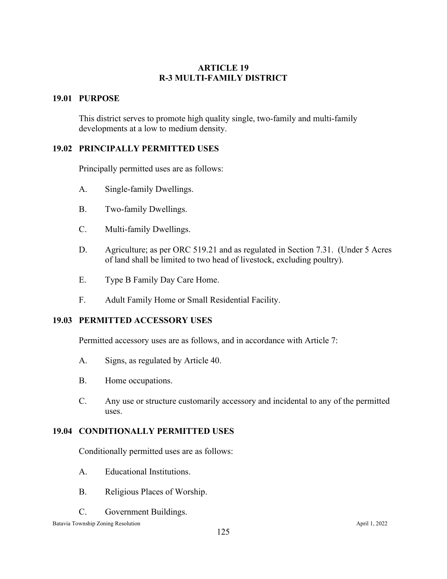## **ARTICLE 19 R-3 MULTI-FAMILY DISTRICT**

## **19.01 PURPOSE**

This district serves to promote high quality single, two-family and multi-family developments at a low to medium density.

## **19.02 PRINCIPALLY PERMITTED USES**

Principally permitted uses are as follows:

- A. Single-family Dwellings.
- B. Two-family Dwellings.
- C. Multi-family Dwellings.
- D. Agriculture; as per ORC 519.21 and as regulated in Section 7.31. (Under 5 Acres of land shall be limited to two head of livestock, excluding poultry).
- E. Type B Family Day Care Home.
- F. Adult Family Home or Small Residential Facility.

## **19.03 PERMITTED ACCESSORY USES**

Permitted accessory uses are as follows, and in accordance with Article 7:

- A. Signs, as regulated by Article 40.
- B. Home occupations.
- C. Any use or structure customarily accessory and incidental to any of the permitted uses.

## **19.04 CONDITIONALLY PERMITTED USES**

Conditionally permitted uses are as follows:

- A. Educational Institutions.
- B. Religious Places of Worship.
- C. Government Buildings.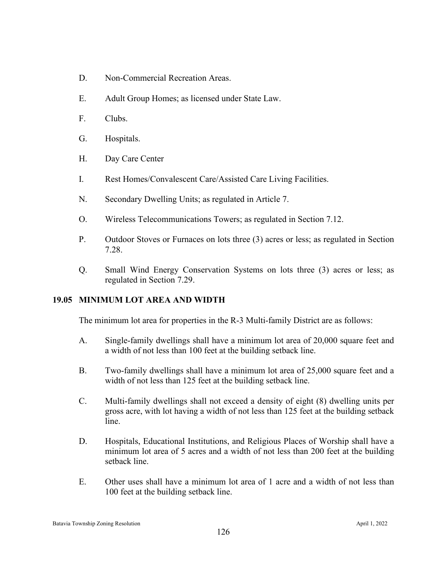- D. Non-Commercial Recreation Areas.
- E. Adult Group Homes; as licensed under State Law.
- F. Clubs.
- G. Hospitals.
- H. Day Care Center
- I. Rest Homes/Convalescent Care/Assisted Care Living Facilities.
- N. Secondary Dwelling Units; as regulated in Article 7.
- O. Wireless Telecommunications Towers; as regulated in Section 7.12.
- P. Outdoor Stoves or Furnaces on lots three (3) acres or less; as regulated in Section 7.28.
- Q. Small Wind Energy Conservation Systems on lots three (3) acres or less; as regulated in Section 7.29.

#### **19.05 MINIMUM LOT AREA AND WIDTH**

The minimum lot area for properties in the R-3 Multi-family District are as follows:

- A. Single-family dwellings shall have a minimum lot area of 20,000 square feet and a width of not less than 100 feet at the building setback line.
- B. Two-family dwellings shall have a minimum lot area of 25,000 square feet and a width of not less than 125 feet at the building setback line.
- C. Multi-family dwellings shall not exceed a density of eight (8) dwelling units per gross acre, with lot having a width of not less than 125 feet at the building setback line.
- D. Hospitals, Educational Institutions, and Religious Places of Worship shall have a minimum lot area of 5 acres and a width of not less than 200 feet at the building setback line.
- E. Other uses shall have a minimum lot area of 1 acre and a width of not less than 100 feet at the building setback line.

Batavia Township Zoning Resolution April 1, 2022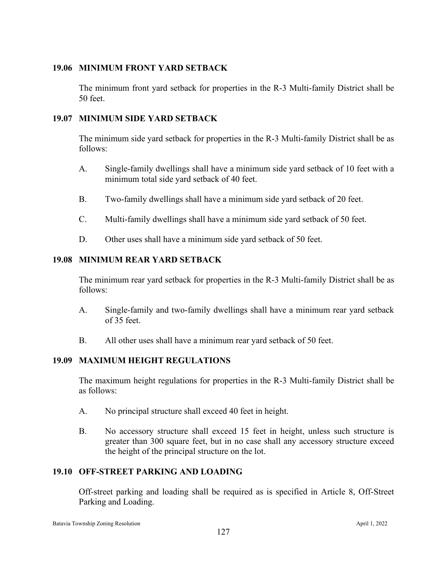## **19.06 MINIMUM FRONT YARD SETBACK**

The minimum front yard setback for properties in the R-3 Multi-family District shall be 50 feet.

## **19.07 MINIMUM SIDE YARD SETBACK**

The minimum side yard setback for properties in the R-3 Multi-family District shall be as follows:

- A. Single-family dwellings shall have a minimum side yard setback of 10 feet with a minimum total side yard setback of 40 feet.
- B. Two-family dwellings shall have a minimum side yard setback of 20 feet.
- C. Multi-family dwellings shall have a minimum side yard setback of 50 feet.
- D. Other uses shall have a minimum side yard setback of 50 feet.

# **19.08 MINIMUM REAR YARD SETBACK**

The minimum rear yard setback for properties in the R-3 Multi-family District shall be as follows:

- A. Single-family and two-family dwellings shall have a minimum rear yard setback of 35 feet.
- B. All other uses shall have a minimum rear yard setback of 50 feet.

## **19.09 MAXIMUM HEIGHT REGULATIONS**

The maximum height regulations for properties in the R-3 Multi-family District shall be as follows:

- A. No principal structure shall exceed 40 feet in height.
- B. No accessory structure shall exceed 15 feet in height, unless such structure is greater than 300 square feet, but in no case shall any accessory structure exceed the height of the principal structure on the lot.

## **19.10 OFF-STREET PARKING AND LOADING**

Off-street parking and loading shall be required as is specified in Article 8, Off-Street Parking and Loading.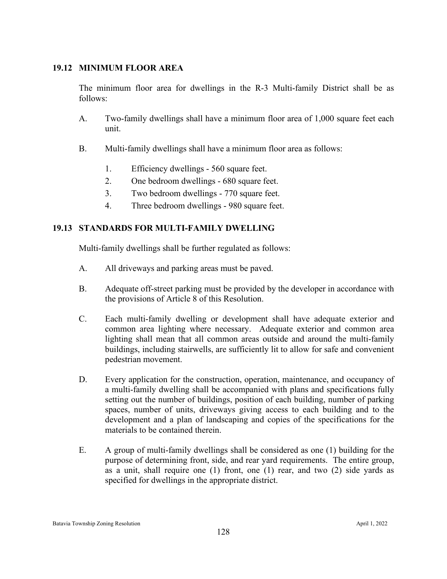## **19.12 MINIMUM FLOOR AREA**

The minimum floor area for dwellings in the R-3 Multi-family District shall be as follows:

- A. Two-family dwellings shall have a minimum floor area of 1,000 square feet each unit.
- B. Multi-family dwellings shall have a minimum floor area as follows:
	- 1. Efficiency dwellings 560 square feet.
	- 2. One bedroom dwellings 680 square feet.
	- 3. Two bedroom dwellings 770 square feet.
	- 4. Three bedroom dwellings 980 square feet.

## **19.13 STANDARDS FOR MULTI-FAMILY DWELLING**

Multi-family dwellings shall be further regulated as follows:

- A. All driveways and parking areas must be paved.
- B. Adequate off-street parking must be provided by the developer in accordance with the provisions of Article 8 of this Resolution.
- C. Each multi-family dwelling or development shall have adequate exterior and common area lighting where necessary. Adequate exterior and common area lighting shall mean that all common areas outside and around the multi-family buildings, including stairwells, are sufficiently lit to allow for safe and convenient pedestrian movement.
- D. Every application for the construction, operation, maintenance, and occupancy of a multi-family dwelling shall be accompanied with plans and specifications fully setting out the number of buildings, position of each building, number of parking spaces, number of units, driveways giving access to each building and to the development and a plan of landscaping and copies of the specifications for the materials to be contained therein.
- E. A group of multi-family dwellings shall be considered as one (1) building for the purpose of determining front, side, and rear yard requirements. The entire group, as a unit, shall require one (1) front, one (1) rear, and two (2) side yards as specified for dwellings in the appropriate district.

#### Batavia Township Zoning Resolution April 1, 2022